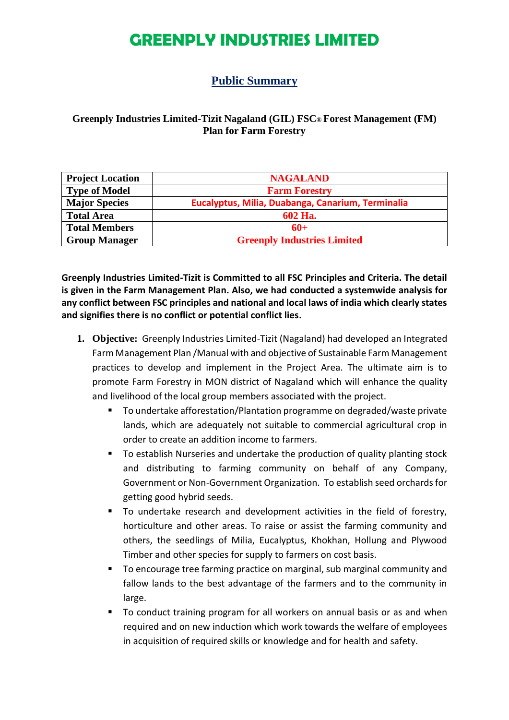#### **Public Summary**

#### **Greenply Industries Limited-Tizit Nagaland (GIL) FSC® Forest Management (FM) Plan for Farm Forestry**

| <b>Project Location</b> | <b>NAGALAND</b>                                   |  |  |
|-------------------------|---------------------------------------------------|--|--|
| <b>Type of Model</b>    | <b>Farm Forestry</b>                              |  |  |
| <b>Major Species</b>    | Eucalyptus, Milia, Duabanga, Canarium, Terminalia |  |  |
| <b>Total Area</b>       | 602 Ha.                                           |  |  |
| <b>Total Members</b>    | $60+$                                             |  |  |
| <b>Group Manager</b>    | <b>Greenply Industries Limited</b>                |  |  |

**Greenply Industries Limited-Tizit is Committed to all FSC Principles and Criteria. The detail is given in the Farm Management Plan. Also, we had conducted a systemwide analysis for any conflict between FSC principles and national and local laws of india which clearly states and signifies there is no conflict or potential conflict lies.**

- **1. Objective:** Greenply Industries Limited-Tizit (Nagaland) had developed an Integrated Farm Management Plan /Manual with and objective of Sustainable Farm Management practices to develop and implement in the Project Area. The ultimate aim is to promote Farm Forestry in MON district of Nagaland which will enhance the quality and livelihood of the local group members associated with the project.
	- To undertake afforestation/Plantation programme on degraded/waste private lands, which are adequately not suitable to commercial agricultural crop in order to create an addition income to farmers.
	- To establish Nurseries and undertake the production of quality planting stock and distributing to farming community on behalf of any Company, Government or Non-Government Organization. To establish seed orchards for getting good hybrid seeds.
	- To undertake research and development activities in the field of forestry, horticulture and other areas. To raise or assist the farming community and others, the seedlings of Milia, Eucalyptus, Khokhan, Hollung and Plywood Timber and other species for supply to farmers on cost basis.
	- To encourage tree farming practice on marginal, sub marginal community and fallow lands to the best advantage of the farmers and to the community in large.
	- To conduct training program for all workers on annual basis or as and when required and on new induction which work towards the welfare of employees in acquisition of required skills or knowledge and for health and safety.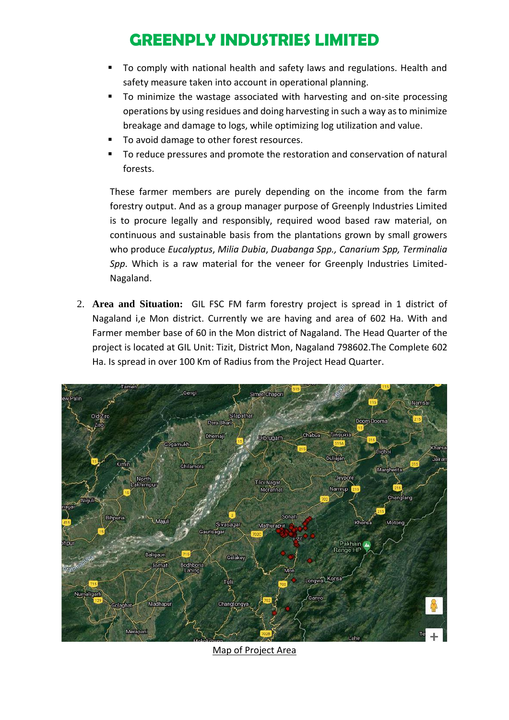- To comply with national health and safety laws and regulations. Health and safety measure taken into account in operational planning.
- To minimize the wastage associated with harvesting and on-site processing operations by using residues and doing harvesting in such a way as to minimize breakage and damage to logs, while optimizing log utilization and value.
- To avoid damage to other forest resources.
- To reduce pressures and promote the restoration and conservation of natural forests.

These farmer members are purely depending on the income from the farm forestry output. And as a group manager purpose of Greenply Industries Limited is to procure legally and responsibly, required wood based raw material, on continuous and sustainable basis from the plantations grown by small growers who produce *Eucalyptus*, *Milia Dubia*, *Duabanga Spp., Canarium Spp, Terminalia Spp*. Which is a raw material for the veneer for Greenply Industries Limited-Nagaland.

2. **Area and Situation:** GIL FSC FM farm forestry project is spread in 1 district of Nagaland i,e Mon district. Currently we are having and area of 602 Ha. With and Farmer member base of 60 in the Mon district of Nagaland. The Head Quarter of the project is located at GIL Unit: Tizit, District Mon, Nagaland 798602.The Complete 602 Ha. Is spread in over 100 Km of Radius from the Project Head Quarter.



Map of Project Area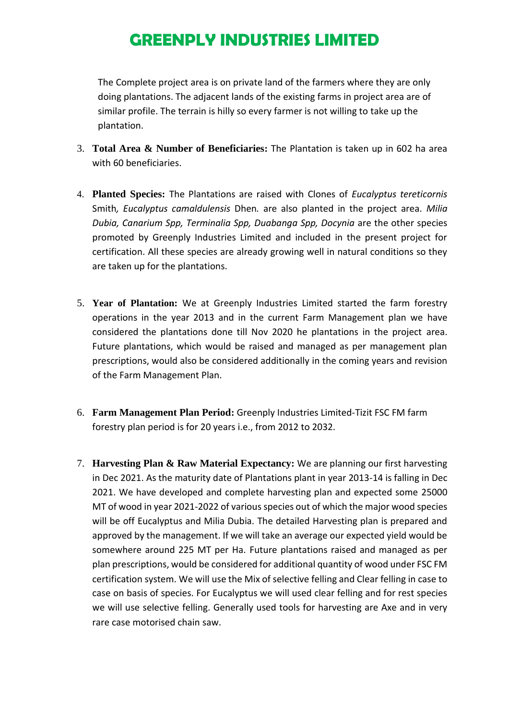The Complete project area is on private land of the farmers where they are only doing plantations. The adjacent lands of the existing farms in project area are of similar profile. The terrain is hilly so every farmer is not willing to take up the plantation.

- 3. **Total Area & Number of Beneficiaries:** The Plantation is taken up in 602 ha area with 60 beneficiaries.
- 4. **Planted Species:** The Plantations are raised with Clones of *Eucalyptus tereticornis*  Smith*, Eucalyptus camaldulensis* Dhen*.* are also planted in the project area. *Milia Dubia, Canarium Spp, Terminalia Spp, Duabanga Spp, Docynia* are the other species promoted by Greenply Industries Limited and included in the present project for certification. All these species are already growing well in natural conditions so they are taken up for the plantations.
- 5. **Year of Plantation:** We at Greenply Industries Limited started the farm forestry operations in the year 2013 and in the current Farm Management plan we have considered the plantations done till Nov 2020 he plantations in the project area. Future plantations, which would be raised and managed as per management plan prescriptions, would also be considered additionally in the coming years and revision of the Farm Management Plan.
- 6. **Farm Management Plan Period:** Greenply Industries Limited-Tizit FSC FM farm forestry plan period is for 20 years i.e., from 2012 to 2032.
- 7. **Harvesting Plan & Raw Material Expectancy:** We are planning our first harvesting in Dec 2021. As the maturity date of Plantations plant in year 2013-14 is falling in Dec 2021. We have developed and complete harvesting plan and expected some 25000 MT of wood in year 2021-2022 of various species out of which the major wood species will be off Eucalyptus and Milia Dubia. The detailed Harvesting plan is prepared and approved by the management. If we will take an average our expected yield would be somewhere around 225 MT per Ha. Future plantations raised and managed as per plan prescriptions, would be considered for additional quantity of wood under FSC FM certification system. We will use the Mix of selective felling and Clear felling in case to case on basis of species. For Eucalyptus we will used clear felling and for rest species we will use selective felling. Generally used tools for harvesting are Axe and in very rare case motorised chain saw.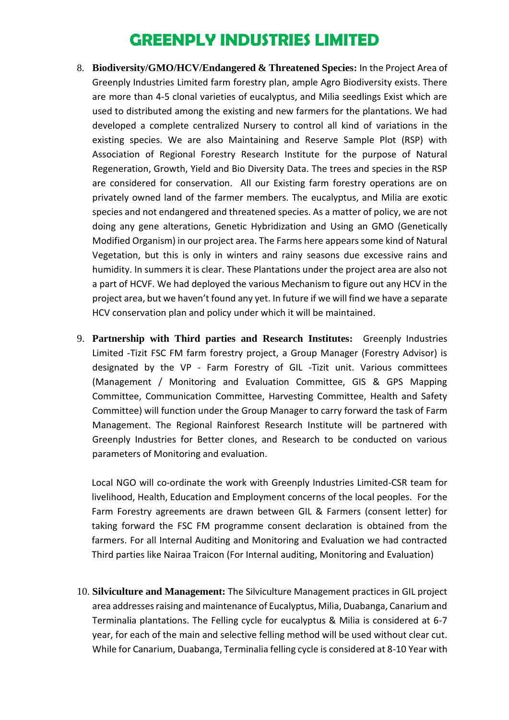- 8. **Biodiversity/GMO/HCV/Endangered & Threatened Species:** In the Project Area of Greenply Industries Limited farm forestry plan, ample Agro Biodiversity exists. There are more than 4-5 clonal varieties of eucalyptus, and Milia seedlings Exist which are used to distributed among the existing and new farmers for the plantations. We had developed a complete centralized Nursery to control all kind of variations in the existing species. We are also Maintaining and Reserve Sample Plot (RSP) with Association of Regional Forestry Research Institute for the purpose of Natural Regeneration, Growth, Yield and Bio Diversity Data. The trees and species in the RSP are considered for conservation. All our Existing farm forestry operations are on privately owned land of the farmer members. The eucalyptus, and Milia are exotic species and not endangered and threatened species. As a matter of policy, we are not doing any gene alterations, Genetic Hybridization and Using an GMO (Genetically Modified Organism) in our project area. The Farms here appears some kind of Natural Vegetation, but this is only in winters and rainy seasons due excessive rains and humidity. In summers it is clear. These Plantations under the project area are also not a part of HCVF. We had deployed the various Mechanism to figure out any HCV in the project area, but we haven't found any yet. In future if we will find we have a separate HCV conservation plan and policy under which it will be maintained.
- 9. **Partnership with Third parties and Research Institutes:** Greenply Industries Limited -Tizit FSC FM farm forestry project, a Group Manager (Forestry Advisor) is designated by the VP - Farm Forestry of GIL -Tizit unit. Various committees (Management / Monitoring and Evaluation Committee, GIS & GPS Mapping Committee, Communication Committee, Harvesting Committee, Health and Safety Committee) will function under the Group Manager to carry forward the task of Farm Management. The Regional Rainforest Research Institute will be partnered with Greenply Industries for Better clones, and Research to be conducted on various parameters of Monitoring and evaluation.

Local NGO will co-ordinate the work with Greenply Industries Limited-CSR team for livelihood, Health, Education and Employment concerns of the local peoples. For the Farm Forestry agreements are drawn between GIL & Farmers (consent letter) for taking forward the FSC FM programme consent declaration is obtained from the farmers. For all Internal Auditing and Monitoring and Evaluation we had contracted Third parties like Nairaa Traicon (For Internal auditing, Monitoring and Evaluation)

10. **Silviculture and Management:** The Silviculture Management practices in GIL project area addresses raising and maintenance of Eucalyptus, Milia, Duabanga, Canarium and Terminalia plantations. The Felling cycle for eucalyptus & Milia is considered at 6-7 year, for each of the main and selective felling method will be used without clear cut. While for Canarium, Duabanga, Terminalia felling cycle is considered at 8-10 Year with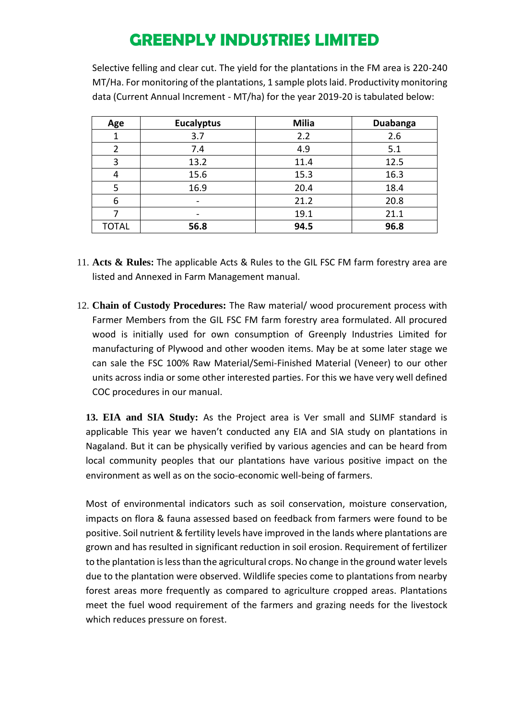Selective felling and clear cut. The yield for the plantations in the FM area is 220-240 MT/Ha. For monitoring of the plantations, 1 sample plots laid. Productivity monitoring data (Current Annual Increment - MT/ha) for the year 2019-20 is tabulated below:

| Age           | <b>Eucalyptus</b> | <b>Milia</b> | <b>Duabanga</b> |
|---------------|-------------------|--------------|-----------------|
|               | 3.7               | 2.2          | 2.6             |
| $\mathfrak z$ | 7.4               | 4.9          | 5.1             |
| 3             | 13.2              | 11.4         | 12.5            |
|               | 15.6              | 15.3         | 16.3            |
| 5             | 16.9              | 20.4         | 18.4            |
| 6             |                   | 21.2         | 20.8            |
|               |                   | 19.1         | 21.1            |
| <b>TOTAL</b>  | 56.8              | 94.5         | 96.8            |

- 11. **Acts & Rules:** The applicable Acts & Rules to the GIL FSC FM farm forestry area are listed and Annexed in Farm Management manual.
- 12. **Chain of Custody Procedures:** The Raw material/ wood procurement process with Farmer Members from the GIL FSC FM farm forestry area formulated. All procured wood is initially used for own consumption of Greenply Industries Limited for manufacturing of Plywood and other wooden items. May be at some later stage we can sale the FSC 100% Raw Material/Semi-Finished Material (Veneer) to our other units across india or some other interested parties. For this we have very well defined COC procedures in our manual.

**13. EIA and SIA Study:** As the Project area is Ver small and SLIMF standard is applicable This year we haven't conducted any EIA and SIA study on plantations in Nagaland. But it can be physically verified by various agencies and can be heard from local community peoples that our plantations have various positive impact on the environment as well as on the socio-economic well-being of farmers.

Most of environmental indicators such as soil conservation, moisture conservation, impacts on flora & fauna assessed based on feedback from farmers were found to be positive. Soil nutrient & fertility levels have improved in the lands where plantations are grown and has resulted in significant reduction in soil erosion. Requirement of fertilizer to the plantation is less than the agricultural crops. No change in the ground water levels due to the plantation were observed. Wildlife species come to plantations from nearby forest areas more frequently as compared to agriculture cropped areas. Plantations meet the fuel wood requirement of the farmers and grazing needs for the livestock which reduces pressure on forest.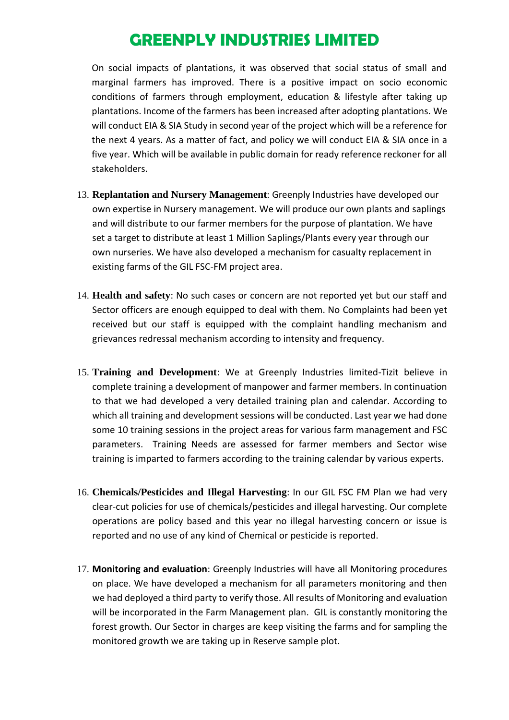On social impacts of plantations, it was observed that social status of small and marginal farmers has improved. There is a positive impact on socio economic conditions of farmers through employment, education & lifestyle after taking up plantations. Income of the farmers has been increased after adopting plantations. We will conduct EIA & SIA Study in second year of the project which will be a reference for the next 4 years. As a matter of fact, and policy we will conduct EIA & SIA once in a five year. Which will be available in public domain for ready reference reckoner for all stakeholders.

- 13. **Replantation and Nursery Management**: Greenply Industries have developed our own expertise in Nursery management. We will produce our own plants and saplings and will distribute to our farmer members for the purpose of plantation. We have set a target to distribute at least 1 Million Saplings/Plants every year through our own nurseries. We have also developed a mechanism for casualty replacement in existing farms of the GIL FSC-FM project area.
- 14. **Health and safety**: No such cases or concern are not reported yet but our staff and Sector officers are enough equipped to deal with them. No Complaints had been yet received but our staff is equipped with the complaint handling mechanism and grievances redressal mechanism according to intensity and frequency.
- 15. **Training and Development**: We at Greenply Industries limited-Tizit believe in complete training a development of manpower and farmer members. In continuation to that we had developed a very detailed training plan and calendar. According to which all training and development sessions will be conducted. Last year we had done some 10 training sessions in the project areas for various farm management and FSC parameters. Training Needs are assessed for farmer members and Sector wise training is imparted to farmers according to the training calendar by various experts.
- 16. **Chemicals/Pesticides and Illegal Harvesting**: In our GIL FSC FM Plan we had very clear-cut policies for use of chemicals/pesticides and illegal harvesting. Our complete operations are policy based and this year no illegal harvesting concern or issue is reported and no use of any kind of Chemical or pesticide is reported.
- 17. **Monitoring and evaluation**: Greenply Industries will have all Monitoring procedures on place. We have developed a mechanism for all parameters monitoring and then we had deployed a third party to verify those. All results of Monitoring and evaluation will be incorporated in the Farm Management plan. GIL is constantly monitoring the forest growth. Our Sector in charges are keep visiting the farms and for sampling the monitored growth we are taking up in Reserve sample plot.